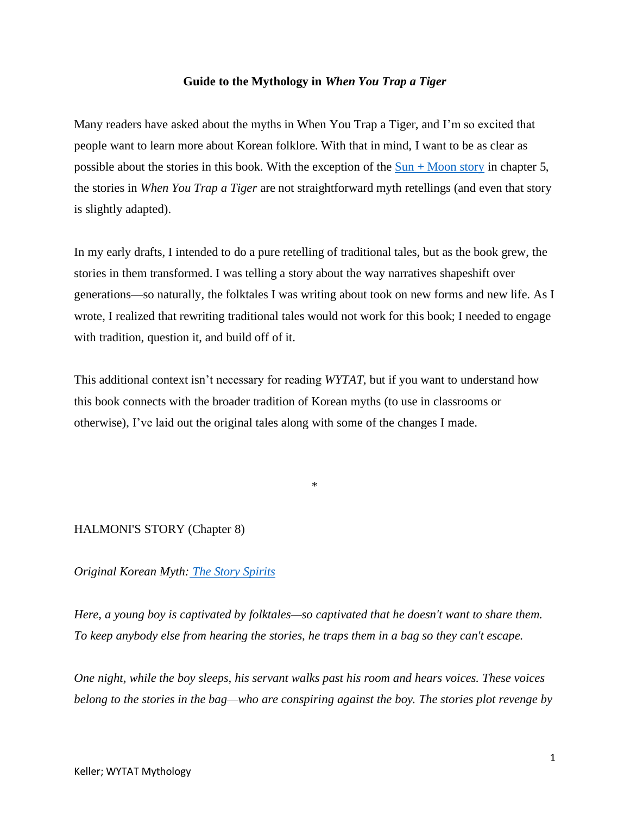#### **Guide to the Mythology in** *When You Trap a Tiger*

Many readers have asked about the myths in When You Trap a Tiger, and I'm so excited that people want to learn more about Korean folklore. With that in mind, I want to be as clear as possible about the stories in this book. With the exception of the  $Sun + Moon$  story in chapter 5, the stories in *When You Trap a Tiger* are not straightforward myth retellings (and even that story is slightly adapted).

In my early drafts, I intended to do a pure retelling of traditional tales, but as the book grew, the stories in them transformed. I was telling a story about the way narratives shapeshift over generations—so naturally, the folktales I was writing about took on new forms and new life. As I wrote, I realized that rewriting traditional tales would not work for this book; I needed to engage with tradition, question it, and build off of it.

This additional context isn't necessary for reading *WYTAT*, but if you want to understand how this book connects with the broader tradition of Korean myths (to use in classrooms or otherwise), I've laid out the original tales along with some of the changes I made.

\*

# HALMONI'S STORY (Chapter 8)

### *Original Korean Myth: [The Story Spirits](https://www.learningtogive.org/resources/story-bag)*

*Here, a young boy is captivated by folktales—so captivated that he doesn't want to share them. To keep anybody else from hearing the stories, he traps them in a bag so they can't escape.* 

*One night, while the boy sleeps, his servant walks past his room and hears voices. These voices belong to the stories in the bag—who are conspiring against the boy. The stories plot revenge by*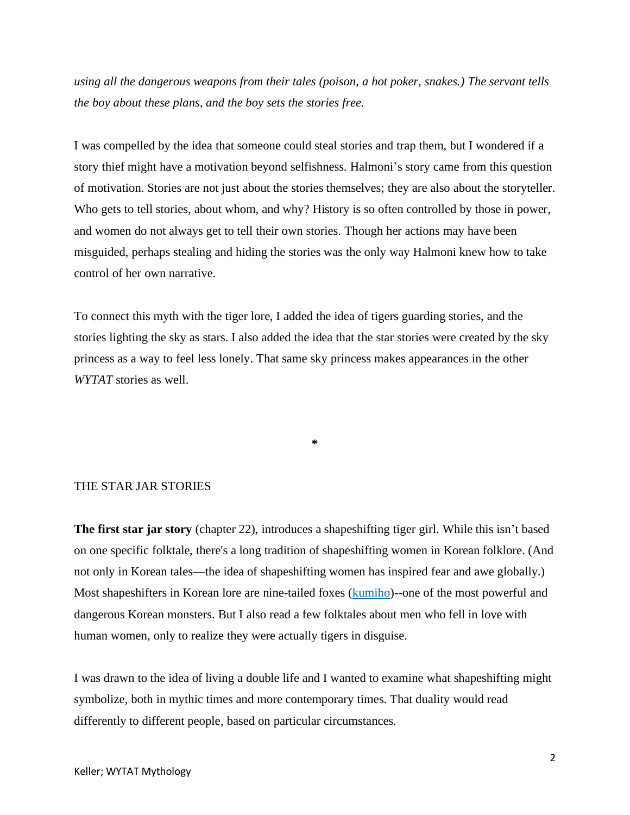*using all the dangerous weapons from their tales (poison, a hot poker, snakes.) The servant tells the boy about these plans, and the boy sets the stories free.* 

I was compelled by the idea that someone could steal stories and trap them, but I wondered if a story thief might have a motivation beyond selfishness. Halmoni's story came from this question of motivation. Stories are not just about the stories themselves; they are also about the storyteller. Who gets to tell stories, about whom, and why? History is so often controlled by those in power, and women do not always get to tell their own stories. Though her actions may have been misguided, perhaps stealing and hiding the stories was the only way Halmoni knew how to take control of her own narrative.

To connect this myth with the tiger lore, I added the idea of tigers guarding stories, and the stories lighting the sky as stars. I also added the idea that the star stories were created by the sky princess as a way to feel less lonely. That same sky princess makes appearances in the other *WYTAT* stories as well.

**\***

## THE STAR JAR STORIES

**The first star jar story** (chapter 22), introduces a shapeshifting tiger girl. While this isn't based on one specific folktale, there's a long tradition of shapeshifting women in Korean folklore. (And not only in Korean tales—the idea of shapeshifting women has inspired fear and awe globally.) Most shapeshifters in Korean lore are nine-tailed foxes [\(kumiho\)](https://en.wikipedia.org/wiki/Kumiho#:~:text=A%20kumiho%20(gumiho)%20(Korean,its%20Japanese%20and%20Chinese%20counterparts.)--one of the most powerful and dangerous Korean monsters. But I also read a few folktales about men who fell in love with human women, only to realize they were actually tigers in disguise.

I was drawn to the idea of living a double life and I wanted to examine what shapeshifting might symbolize, both in mythic times and more contemporary times. That duality would read differently to different people, based on particular circumstances.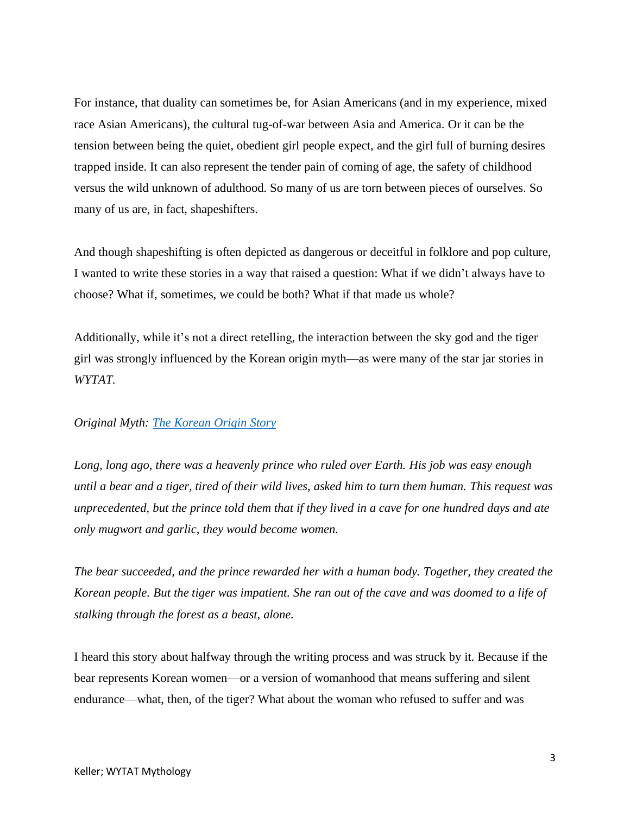For instance, that duality can sometimes be, for Asian Americans (and in my experience, mixed race Asian Americans), the cultural tug-of-war between Asia and America. Or it can be the tension between being the quiet, obedient girl people expect, and the girl full of burning desires trapped inside. It can also represent the tender pain of coming of age, the safety of childhood versus the wild unknown of adulthood. So many of us are torn between pieces of ourselves. So many of us are, in fact, shapeshifters.

And though shapeshifting is often depicted as dangerous or deceitful in folklore and pop culture, I wanted to write these stories in a way that raised a question: What if we didn't always have to choose? What if, sometimes, we could be both? What if that made us whole?

Additionally, while it's not a direct retelling, the interaction between the sky god and the tiger girl was strongly influenced by the Korean origin myth—as were many of the star jar stories in *WYTAT.* 

## *Original Myth: [The Korean Origin](https://english.visitkorea.or.kr/enu/CU/CU_EN_8_8_3_2.jsp#:~:text=The%20Dangun%20legend%20is%20a,of%20heaven%2C%20to%20become%20human.&text=The%20tiger%20gave%20up%20after%20about%20twenty%20days%20and%20left%20the%20cave.) Story*

*Long, long ago, there was a heavenly prince who ruled over Earth. His job was easy enough until a bear and a tiger, tired of their wild lives, asked him to turn them human. This request was unprecedented, but the prince told them that if they lived in a cave for one hundred days and ate only mugwort and garlic, they would become women.*

*The bear succeeded, and the prince rewarded her with a human body. Together, they created the Korean people. But the tiger was impatient. She ran out of the cave and was doomed to a life of stalking through the forest as a beast, alone.*

I heard this story about halfway through the writing process and was struck by it. Because if the bear represents Korean women—or a version of womanhood that means suffering and silent endurance—what, then, of the tiger? What about the woman who refused to suffer and was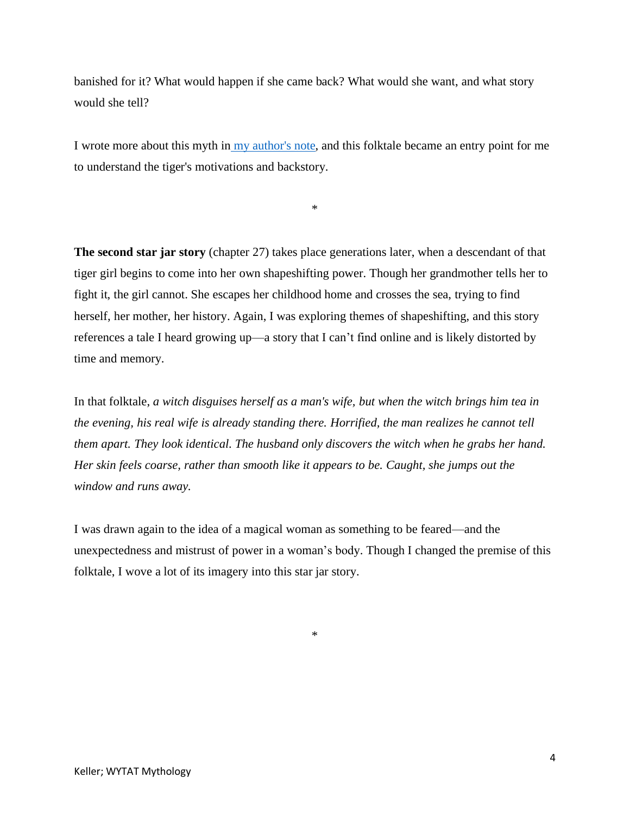banished for it? What would happen if she came back? What would she want, and what story would she tell?

I wrote more about this myth in [my author's note,](file:///C:/Users/taeke/OneDrive/Desktop/KELLER_WYTAT_AUTHORSNOTE.pdf) and this folktale became an entry point for me to understand the tiger's motivations and backstory.

\*

**The second star jar story** (chapter 27) takes place generations later, when a descendant of that tiger girl begins to come into her own shapeshifting power. Though her grandmother tells her to fight it, the girl cannot. She escapes her childhood home and crosses the sea, trying to find herself, her mother, her history. Again, I was exploring themes of shapeshifting, and this story references a tale I heard growing up—a story that I can't find online and is likely distorted by time and memory.

In that folktale, *a witch disguises herself as a man's wife, but when the witch brings him tea in the evening, his real wife is already standing there. Horrified, the man realizes he cannot tell them apart. They look identical. The husband only discovers the witch when he grabs her hand. Her skin feels coarse, rather than smooth like it appears to be. Caught, she jumps out the window and runs away.* 

I was drawn again to the idea of a magical woman as something to be feared—and the unexpectedness and mistrust of power in a woman's body. Though I changed the premise of this folktale, I wove a lot of its imagery into this star jar story.

\*